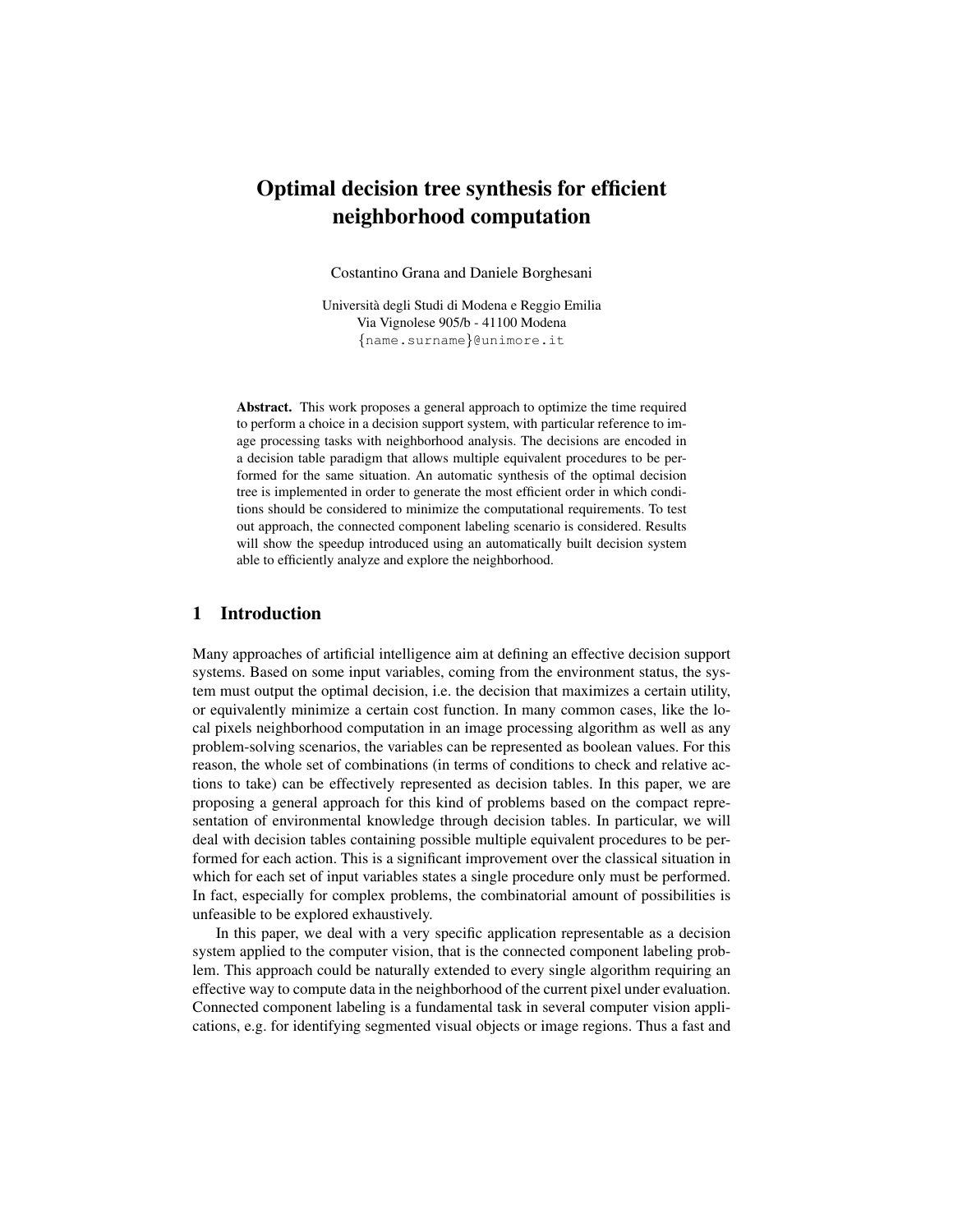# Optimal decision tree synthesis for efficient neighborhood computation

Costantino Grana and Daniele Borghesani

Universita degli Studi di Modena e Reggio Emilia ` Via Vignolese 905/b - 41100 Modena {name.surname}@unimore.it

Abstract. This work proposes a general approach to optimize the time required to perform a choice in a decision support system, with particular reference to image processing tasks with neighborhood analysis. The decisions are encoded in a decision table paradigm that allows multiple equivalent procedures to be performed for the same situation. An automatic synthesis of the optimal decision tree is implemented in order to generate the most efficient order in which conditions should be considered to minimize the computational requirements. To test out approach, the connected component labeling scenario is considered. Results will show the speedup introduced using an automatically built decision system able to efficiently analyze and explore the neighborhood.

#### 1 Introduction

Many approaches of artificial intelligence aim at defining an effective decision support systems. Based on some input variables, coming from the environment status, the system must output the optimal decision, i.e. the decision that maximizes a certain utility, or equivalently minimize a certain cost function. In many common cases, like the local pixels neighborhood computation in an image processing algorithm as well as any problem-solving scenarios, the variables can be represented as boolean values. For this reason, the whole set of combinations (in terms of conditions to check and relative actions to take) can be effectively represented as decision tables. In this paper, we are proposing a general approach for this kind of problems based on the compact representation of environmental knowledge through decision tables. In particular, we will deal with decision tables containing possible multiple equivalent procedures to be performed for each action. This is a significant improvement over the classical situation in which for each set of input variables states a single procedure only must be performed. In fact, especially for complex problems, the combinatorial amount of possibilities is unfeasible to be explored exhaustively.

In this paper, we deal with a very specific application representable as a decision system applied to the computer vision, that is the connected component labeling problem. This approach could be naturally extended to every single algorithm requiring an effective way to compute data in the neighborhood of the current pixel under evaluation. Connected component labeling is a fundamental task in several computer vision applications, e.g. for identifying segmented visual objects or image regions. Thus a fast and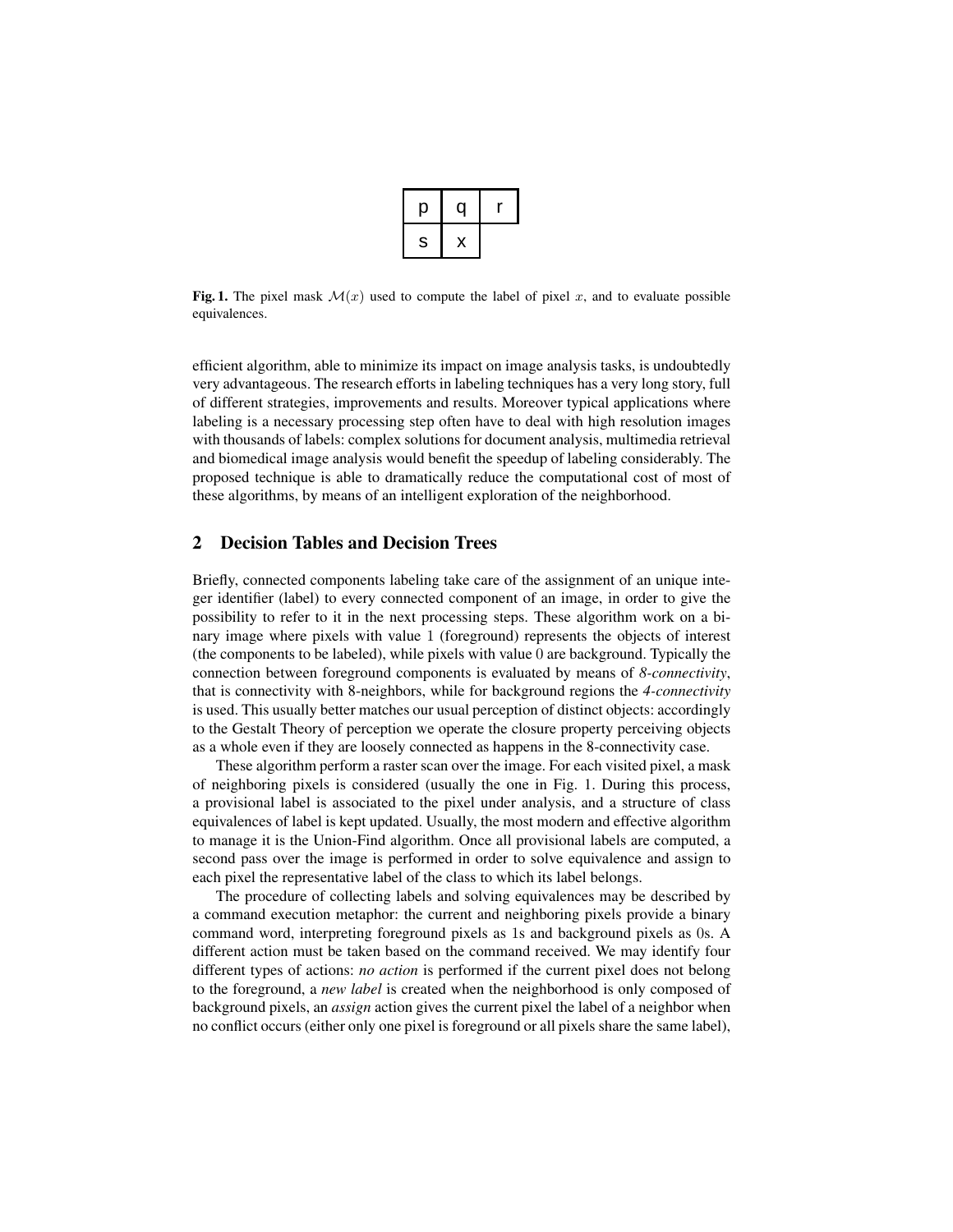| s |  |
|---|--|

Fig. 1. The pixel mask  $\mathcal{M}(x)$  used to compute the label of pixel x, and to evaluate possible equivalences.

efficient algorithm, able to minimize its impact on image analysis tasks, is undoubtedly very advantageous. The research efforts in labeling techniques has a very long story, full of different strategies, improvements and results. Moreover typical applications where labeling is a necessary processing step often have to deal with high resolution images with thousands of labels: complex solutions for document analysis, multimedia retrieval and biomedical image analysis would benefit the speedup of labeling considerably. The proposed technique is able to dramatically reduce the computational cost of most of these algorithms, by means of an intelligent exploration of the neighborhood.

## 2 Decision Tables and Decision Trees

Briefly, connected components labeling take care of the assignment of an unique integer identifier (label) to every connected component of an image, in order to give the possibility to refer to it in the next processing steps. These algorithm work on a binary image where pixels with value 1 (foreground) represents the objects of interest (the components to be labeled), while pixels with value 0 are background. Typically the connection between foreground components is evaluated by means of *8-connectivity*, that is connectivity with 8-neighbors, while for background regions the *4-connectivity* is used. This usually better matches our usual perception of distinct objects: accordingly to the Gestalt Theory of perception we operate the closure property perceiving objects as a whole even if they are loosely connected as happens in the 8-connectivity case.

These algorithm perform a raster scan over the image. For each visited pixel, a mask of neighboring pixels is considered (usually the one in Fig. 1. During this process, a provisional label is associated to the pixel under analysis, and a structure of class equivalences of label is kept updated. Usually, the most modern and effective algorithm to manage it is the Union-Find algorithm. Once all provisional labels are computed, a second pass over the image is performed in order to solve equivalence and assign to each pixel the representative label of the class to which its label belongs.

The procedure of collecting labels and solving equivalences may be described by a command execution metaphor: the current and neighboring pixels provide a binary command word, interpreting foreground pixels as 1s and background pixels as 0s. A different action must be taken based on the command received. We may identify four different types of actions: *no action* is performed if the current pixel does not belong to the foreground, a *new label* is created when the neighborhood is only composed of background pixels, an *assign* action gives the current pixel the label of a neighbor when no conflict occurs (either only one pixel is foreground or all pixels share the same label),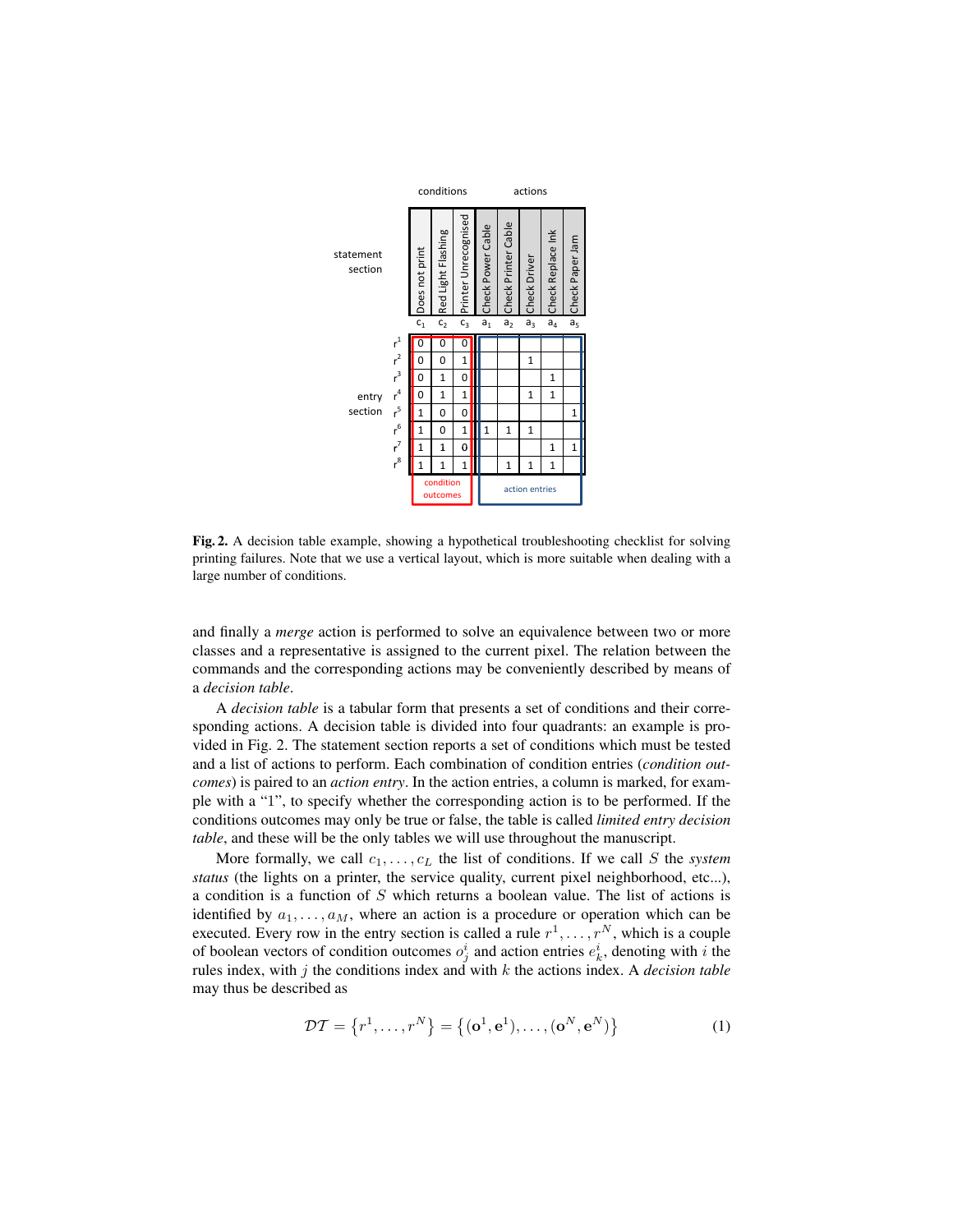

Fig. 2. A decision table example, showing a hypothetical troubleshooting checklist for solving printing failures. Note that we use a vertical layout, which is more suitable when dealing with a large number of conditions.

and finally a *merge* action is performed to solve an equivalence between two or more classes and a representative is assigned to the current pixel. The relation between the commands and the corresponding actions may be conveniently described by means of a *decision table*.

A *decision table* is a tabular form that presents a set of conditions and their corresponding actions. A decision table is divided into four quadrants: an example is provided in Fig. 2. The statement section reports a set of conditions which must be tested and a list of actions to perform. Each combination of condition entries (*condition outcomes*) is paired to an *action entry*. In the action entries, a column is marked, for example with a "1", to specify whether the corresponding action is to be performed. If the conditions outcomes may only be true or false, the table is called *limited entry decision table*, and these will be the only tables we will use throughout the manuscript.

More formally, we call  $c_1, \ldots, c_L$  the list of conditions. If we call S the *system status* (the lights on a printer, the service quality, current pixel neighborhood, etc...), a condition is a function of S which returns a boolean value. The list of actions is identified by  $a_1, \ldots, a_M$ , where an action is a procedure or operation which can be executed. Every row in the entry section is called a rule  $r^1, \ldots, r^N$ , which is a couple of boolean vectors of condition outcomes  $o_j^i$  and action entries  $e_k^i$ , denoting with i the rules index, with j the conditions index and with k the actions index. A *decision table* may thus be described as

$$
\mathcal{DT} = \left\{r^1, \dots, r^N\right\} = \left\{(\mathbf{o}^1, \mathbf{e}^1), \dots, (\mathbf{o}^N, \mathbf{e}^N)\right\}
$$
(1)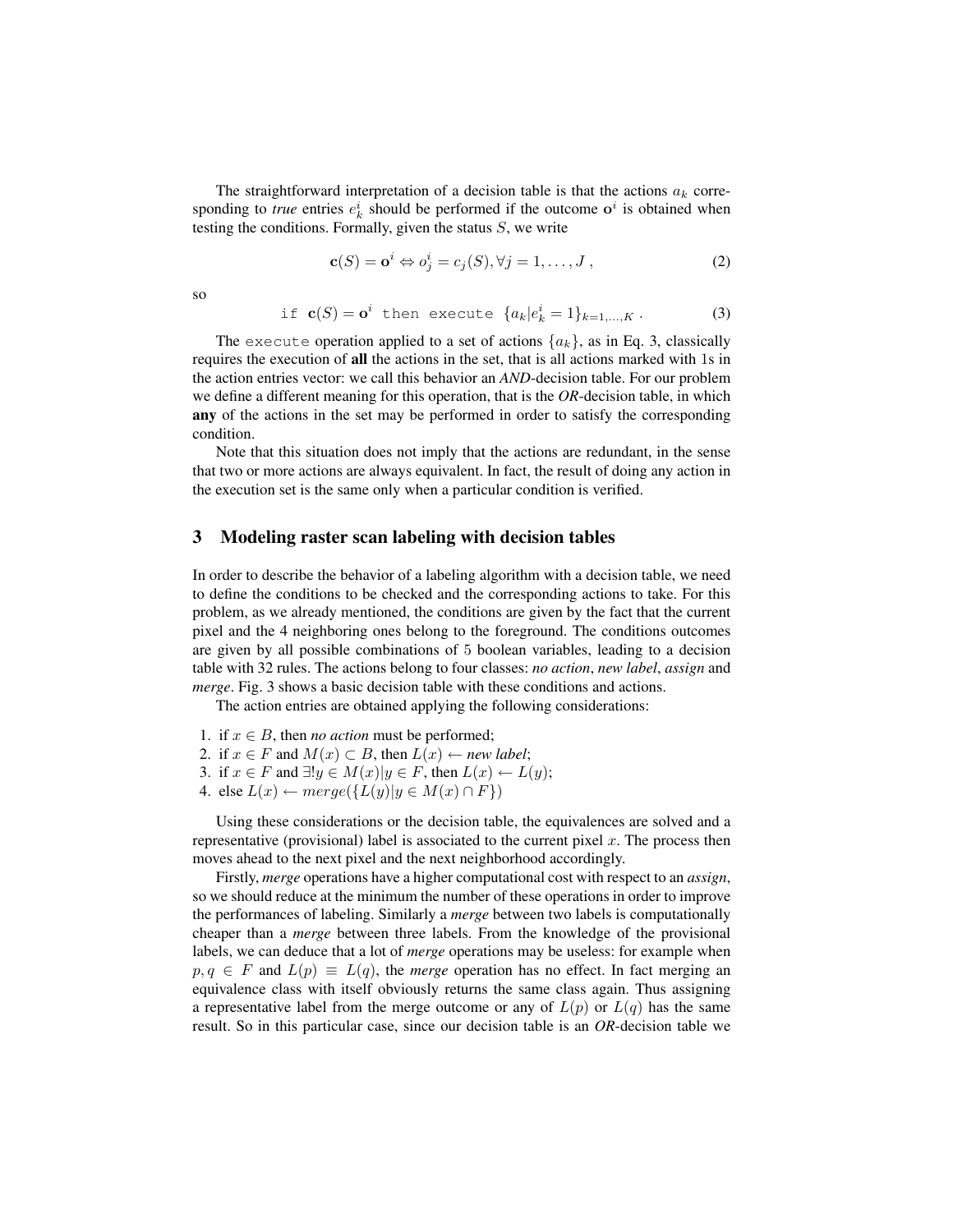The straightforward interpretation of a decision table is that the actions  $a_k$  corresponding to *true* entries  $e_k^i$  should be performed if the outcome  $o^i$  is obtained when testing the conditions. Formally, given the status  $S$ , we write

$$
\mathbf{c}(S) = \mathbf{o}^i \Leftrightarrow o_j^i = c_j(S), \forall j = 1, \dots, J ,
$$
 (2)

so

$$
\text{if } \mathbf{c}(S) = \mathbf{o}^i \text{ then execute } \{a_k | e_k^i = 1\}_{k=1,\dots,K} \,. \tag{3}
$$

The execute operation applied to a set of actions  $\{a_k\}$ , as in Eq. 3, classically requires the execution of all the actions in the set, that is all actions marked with 1s in the action entries vector: we call this behavior an *AND*-decision table. For our problem we define a different meaning for this operation, that is the *OR*-decision table, in which any of the actions in the set may be performed in order to satisfy the corresponding condition.

Note that this situation does not imply that the actions are redundant, in the sense that two or more actions are always equivalent. In fact, the result of doing any action in the execution set is the same only when a particular condition is verified.

## 3 Modeling raster scan labeling with decision tables

In order to describe the behavior of a labeling algorithm with a decision table, we need to define the conditions to be checked and the corresponding actions to take. For this problem, as we already mentioned, the conditions are given by the fact that the current pixel and the 4 neighboring ones belong to the foreground. The conditions outcomes are given by all possible combinations of 5 boolean variables, leading to a decision table with 32 rules. The actions belong to four classes: *no action*, *new label*, *assign* and *merge*. Fig. 3 shows a basic decision table with these conditions and actions.

The action entries are obtained applying the following considerations:

- 1. if  $x \in B$ , then *no action* must be performed;
- 2. if  $x \in F$  and  $M(x) \subset B$ , then  $L(x) \leftarrow new$  *label*;
- 3. if  $x \in F$  and  $\exists ! y \in M(x)| y \in F$ , then  $L(x) \leftarrow L(y)$ ;
- 4. else  $L(x) \leftarrow merge({L(y)|y \in M(x) \cap F})$

Using these considerations or the decision table, the equivalences are solved and a representative (provisional) label is associated to the current pixel  $x$ . The process then moves ahead to the next pixel and the next neighborhood accordingly.

Firstly, *merge* operations have a higher computational cost with respect to an *assign*, so we should reduce at the minimum the number of these operations in order to improve the performances of labeling. Similarly a *merge* between two labels is computationally cheaper than a *merge* between three labels. From the knowledge of the provisional labels, we can deduce that a lot of *merge* operations may be useless: for example when  $p, q \in F$  and  $L(p) \equiv L(q)$ , the *merge* operation has no effect. In fact merging an equivalence class with itself obviously returns the same class again. Thus assigning a representative label from the merge outcome or any of  $L(p)$  or  $L(q)$  has the same result. So in this particular case, since our decision table is an *OR*-decision table we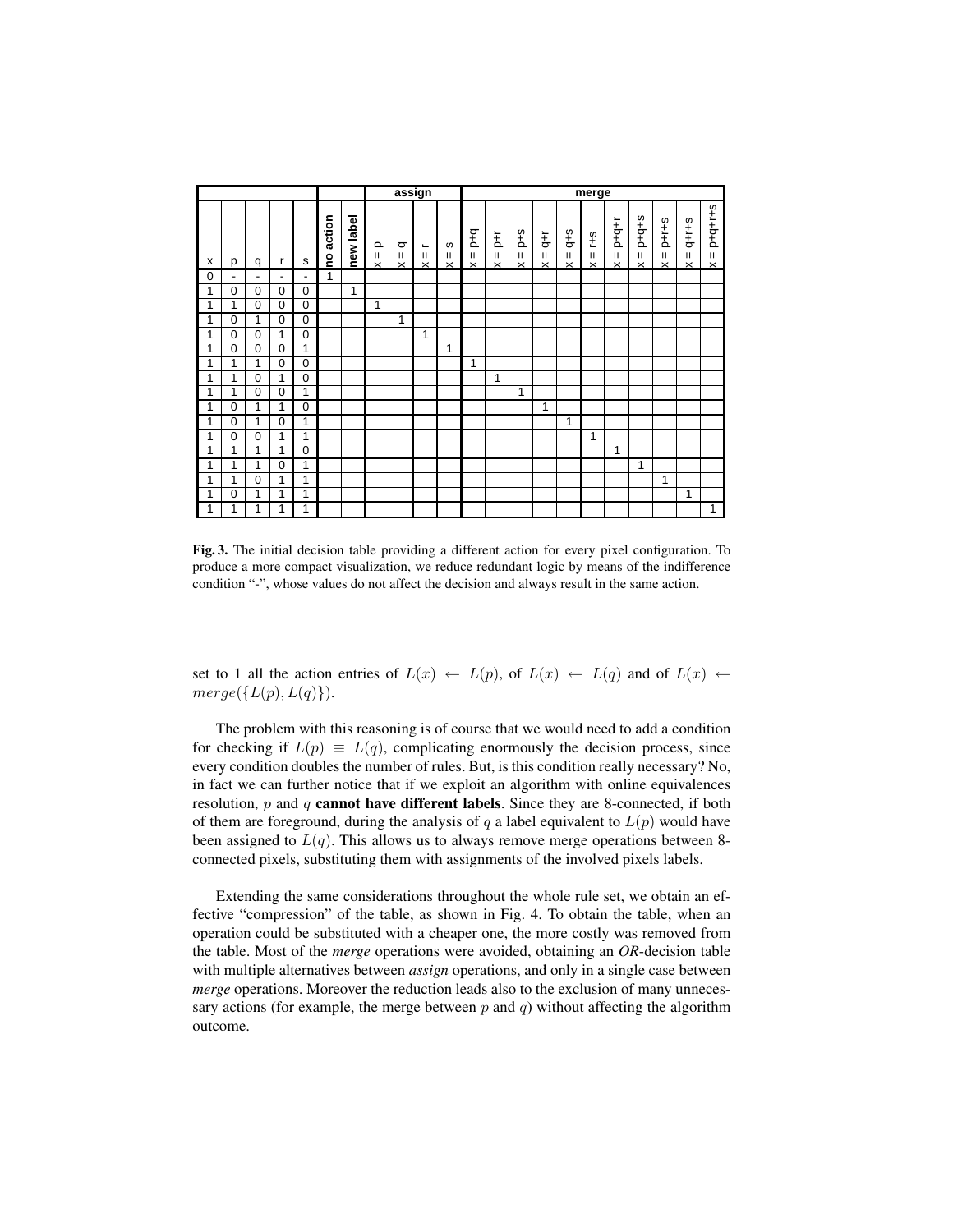|              |             |              |              |             |                    |           | assign                    |                    |                                           |                    | merge                          |                                    |                        |                                |                        |                                  |                                            |                          |                                     |                          |                                |
|--------------|-------------|--------------|--------------|-------------|--------------------|-----------|---------------------------|--------------------|-------------------------------------------|--------------------|--------------------------------|------------------------------------|------------------------|--------------------------------|------------------------|----------------------------------|--------------------------------------------|--------------------------|-------------------------------------|--------------------------|--------------------------------|
| x            | p           | q            | r            | s           | action<br><b>S</b> | new label | $\Omega$<br>Ш<br>$\times$ | ᡉ<br>Ш<br>$\times$ | $\overline{\phantom{a}}$<br>Ш<br>$\times$ | S<br>Ш<br>$\times$ | $\frac{1}{2}$<br>Ш<br>$\times$ | $\frac{1}{2}$<br>$\mathbf{I}$<br>× | $5+Q$<br>Ш<br>$\times$ | $\frac{1}{6}$<br>Ш<br>$\times$ | $9+2$<br>Ш<br>$\times$ | r+s<br>$\mathsf{II}$<br>$\times$ | $\overline{a}$<br>$\mathbf{I}$<br>$\times$ | $P+Q+S$<br>Ш<br>$\times$ | $P+1+S$<br>$\mathbf{I}$<br>$\times$ | $q+1+S$<br>Ш<br>$\times$ | p+q+r+s<br>$\,$ II<br>$\times$ |
| $\mathbf 0$  | ٠           | -            | ٠            | ٠           | 1                  |           |                           |                    |                                           |                    |                                |                                    |                        |                                |                        |                                  |                                            |                          |                                     |                          |                                |
| 1            | $\Omega$    | $\Omega$     | 0            | $\Omega$    |                    | 1         |                           |                    |                                           |                    |                                |                                    |                        |                                |                        |                                  |                                            |                          |                                     |                          |                                |
| 1            | 1           | $\mathbf 0$  | 0            | 0           |                    |           | 1                         |                    |                                           |                    |                                |                                    |                        |                                |                        |                                  |                                            |                          |                                     |                          |                                |
| 1            | 0           | 1            | 0            | $\Omega$    |                    |           |                           | 1                  |                                           |                    |                                |                                    |                        |                                |                        |                                  |                                            |                          |                                     |                          |                                |
| 1            | $\mathbf 0$ | 0            | 1            | 0           |                    |           |                           |                    | 1                                         |                    |                                |                                    |                        |                                |                        |                                  |                                            |                          |                                     |                          |                                |
| $\mathbf{1}$ | $\Omega$    | $\Omega$     | 0            | 1           |                    |           |                           |                    |                                           | 1                  |                                |                                    |                        |                                |                        |                                  |                                            |                          |                                     |                          |                                |
| 1            | 1           | 1            | 0            | 0           |                    |           |                           |                    |                                           |                    | 1                              |                                    |                        |                                |                        |                                  |                                            |                          |                                     |                          |                                |
| 1            | 1           | $\mathbf 0$  | 1            | 0           |                    |           |                           |                    |                                           |                    |                                | 1                                  |                        |                                |                        |                                  |                                            |                          |                                     |                          |                                |
| 1            | 1           | $\mathbf 0$  | 0            | 1           |                    |           |                           |                    |                                           |                    |                                |                                    | $\mathbf{1}$           |                                |                        |                                  |                                            |                          |                                     |                          |                                |
| 1            | $\Omega$    | $\mathbf{1}$ | $\mathbf{1}$ | $\Omega$    |                    |           |                           |                    |                                           |                    |                                |                                    |                        | 1                              |                        |                                  |                                            |                          |                                     |                          |                                |
| 1            | 0           | 1            | 0            | 1           |                    |           |                           |                    |                                           |                    |                                |                                    |                        |                                | 1                      |                                  |                                            |                          |                                     |                          |                                |
| 1            | $\mathbf 0$ | $\mathbf 0$  | 1            | 1           |                    |           |                           |                    |                                           |                    |                                |                                    |                        |                                |                        | 1                                |                                            |                          |                                     |                          |                                |
| 1            | 1           | 1            | 1            | $\mathbf 0$ |                    |           |                           |                    |                                           |                    |                                |                                    |                        |                                |                        |                                  | 1                                          |                          |                                     |                          |                                |
| 1            | 1           | 1            | 0            | 1           |                    |           |                           |                    |                                           |                    |                                |                                    |                        |                                |                        |                                  |                                            | 1                        |                                     |                          |                                |
| 1            | 1           | $\Omega$     | 1            | 1           |                    |           |                           |                    |                                           |                    |                                |                                    |                        |                                |                        |                                  |                                            |                          | 1                                   |                          |                                |
| 1            | 0           | 1            | 1            | 1           |                    |           |                           |                    |                                           |                    |                                |                                    |                        |                                |                        |                                  |                                            |                          |                                     | 1                        |                                |
| 1            | 1           | 1            | 1            | 1           |                    |           |                           |                    |                                           |                    |                                |                                    |                        |                                |                        |                                  |                                            |                          |                                     |                          | 1                              |

Fig. 3. The initial decision table providing a different action for every pixel configuration. To produce a more compact visualization, we reduce redundant logic by means of the indifference condition "-", whose values do not affect the decision and always result in the same action.

set to 1 all the action entries of  $L(x) \leftarrow L(p)$ , of  $L(x) \leftarrow L(q)$  and of  $L(x) \leftarrow$  $merge({L(p), L(q)}).$ 

The problem with this reasoning is of course that we would need to add a condition for checking if  $L(p) \equiv L(q)$ , complicating enormously the decision process, since every condition doubles the number of rules. But, is this condition really necessary? No, in fact we can further notice that if we exploit an algorithm with online equivalences resolution,  $p$  and  $q$  cannot have different labels. Since they are 8-connected, if both of them are foreground, during the analysis of q a label equivalent to  $L(p)$  would have been assigned to  $L(q)$ . This allows us to always remove merge operations between 8connected pixels, substituting them with assignments of the involved pixels labels.

Extending the same considerations throughout the whole rule set, we obtain an effective "compression" of the table, as shown in Fig. 4. To obtain the table, when an operation could be substituted with a cheaper one, the more costly was removed from the table. Most of the *merge* operations were avoided, obtaining an *OR*-decision table with multiple alternatives between *assign* operations, and only in a single case between *merge* operations. Moreover the reduction leads also to the exclusion of many unnecessary actions (for example, the merge between  $p$  and  $q$ ) without affecting the algorithm outcome.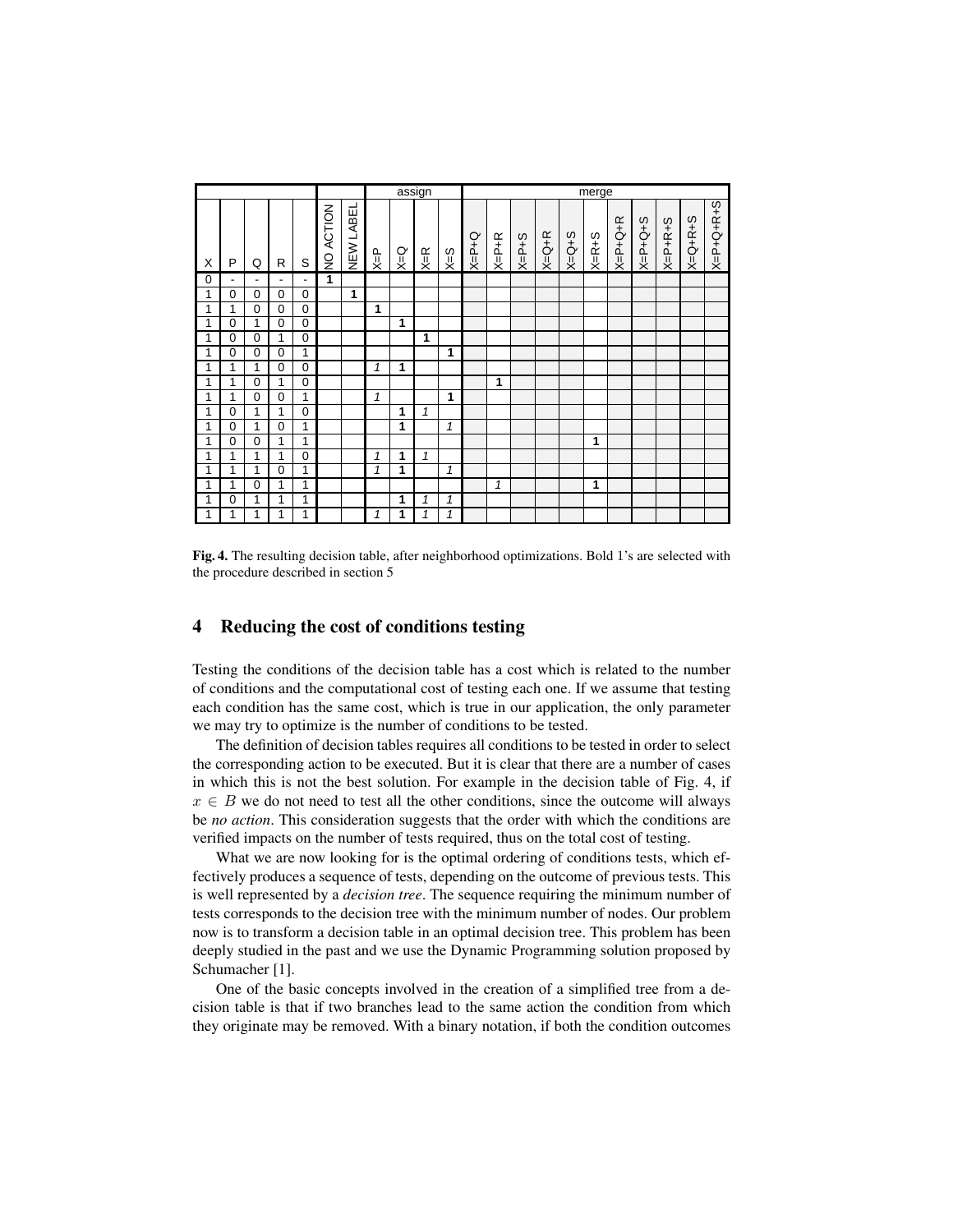|   |             |                          |                |                |           |           |         |       | assign  |         | merge       |             |             |         |         |             |                 |                 |                 |                 |                     |
|---|-------------|--------------------------|----------------|----------------|-----------|-----------|---------|-------|---------|---------|-------------|-------------|-------------|---------|---------|-------------|-----------------|-----------------|-----------------|-----------------|---------------------|
| Χ | P           | Q                        | R              | S              | NO ACTION | NEW LABEL | $X = P$ | $X=Q$ | $X = R$ | $x = S$ | $X = P + Q$ | $X = P + R$ | $X = P + S$ | $X=Q+R$ | $X=Q+S$ | $X = R + S$ | $X = P + Q + R$ | $X = P + Q + S$ | $X = P + R + S$ | $X = Q + R + S$ | $X = P + Q + R + S$ |
| 0 | ٠           | $\overline{\phantom{a}}$ | $\blacksquare$ | $\blacksquare$ | 1         |           |         |       |         |         |             |             |             |         |         |             |                 |                 |                 |                 |                     |
| 1 | $\Omega$    | 0                        | 0              | $\Omega$       |           | 1         |         |       |         |         |             |             |             |         |         |             |                 |                 |                 |                 |                     |
| 1 | 1           | 0                        | 0              | $\mathbf 0$    |           |           | 1       |       |         |         |             |             |             |         |         |             |                 |                 |                 |                 |                     |
| 1 | $\Omega$    | 1                        | 0              | $\mathbf 0$    |           |           |         | 1     |         |         |             |             |             |         |         |             |                 |                 |                 |                 |                     |
| 1 | $\mathbf 0$ | 0                        | 1              | $\mathbf 0$    |           |           |         |       | 1       |         |             |             |             |         |         |             |                 |                 |                 |                 |                     |
| 1 | $\mathbf 0$ | $\mathbf 0$              | $\mathbf 0$    | 1              |           |           |         |       |         | 1       |             |             |             |         |         |             |                 |                 |                 |                 |                     |
| 1 | 1           | 1                        | $\mathbf 0$    | $\Omega$       |           |           | 1       | 1     |         |         |             |             |             |         |         |             |                 |                 |                 |                 |                     |
| 1 | 1           | $\mathbf 0$              | 1              | $\mathbf 0$    |           |           |         |       |         |         |             | 1           |             |         |         |             |                 |                 |                 |                 |                     |
| 1 | 1           | 0                        | $\mathbf 0$    | 1              |           |           | 1       |       |         | 1       |             |             |             |         |         |             |                 |                 |                 |                 |                     |
| 1 | $\Omega$    | 1                        | 1              | $\Omega$       |           |           |         | 1     | 1       |         |             |             |             |         |         |             |                 |                 |                 |                 |                     |
| 1 | $\Omega$    | 1                        | 0              | 1              |           |           |         | 1     |         | 1       |             |             |             |         |         |             |                 |                 |                 |                 |                     |
| 1 | $\mathbf 0$ | $\mathbf 0$              | 1              | 1              |           |           |         |       |         |         |             |             |             |         |         | 1           |                 |                 |                 |                 |                     |
| 1 | 1           | 1                        | 1              | $\mathbf 0$    |           |           | 1       | 1     | 1       |         |             |             |             |         |         |             |                 |                 |                 |                 |                     |
| 1 | 1           | 1                        | $\mathbf 0$    | 1              |           |           | 1       | 1     |         | 1       |             |             |             |         |         |             |                 |                 |                 |                 |                     |
| 1 | 1           | $\mathbf 0$              | 1              | 1              |           |           |         |       |         |         |             | 1           |             |         |         | 1           |                 |                 |                 |                 |                     |
| 1 | $\Omega$    | 1                        | 1              | 1              |           |           |         | 1     | 1       | 1       |             |             |             |         |         |             |                 |                 |                 |                 |                     |
| 1 | 1           | 1                        | 1              | 1              |           |           | 1       | 1     | 1       | 1       |             |             |             |         |         |             |                 |                 |                 |                 |                     |

Fig. 4. The resulting decision table, after neighborhood optimizations. Bold 1's are selected with the procedure described in section 5

## 4 Reducing the cost of conditions testing

Testing the conditions of the decision table has a cost which is related to the number of conditions and the computational cost of testing each one. If we assume that testing each condition has the same cost, which is true in our application, the only parameter we may try to optimize is the number of conditions to be tested.

The definition of decision tables requires all conditions to be tested in order to select the corresponding action to be executed. But it is clear that there are a number of cases in which this is not the best solution. For example in the decision table of Fig. 4, if  $x \in B$  we do not need to test all the other conditions, since the outcome will always be *no action*. This consideration suggests that the order with which the conditions are verified impacts on the number of tests required, thus on the total cost of testing.

What we are now looking for is the optimal ordering of conditions tests, which effectively produces a sequence of tests, depending on the outcome of previous tests. This is well represented by a *decision tree*. The sequence requiring the minimum number of tests corresponds to the decision tree with the minimum number of nodes. Our problem now is to transform a decision table in an optimal decision tree. This problem has been deeply studied in the past and we use the Dynamic Programming solution proposed by Schumacher [1].

One of the basic concepts involved in the creation of a simplified tree from a decision table is that if two branches lead to the same action the condition from which they originate may be removed. With a binary notation, if both the condition outcomes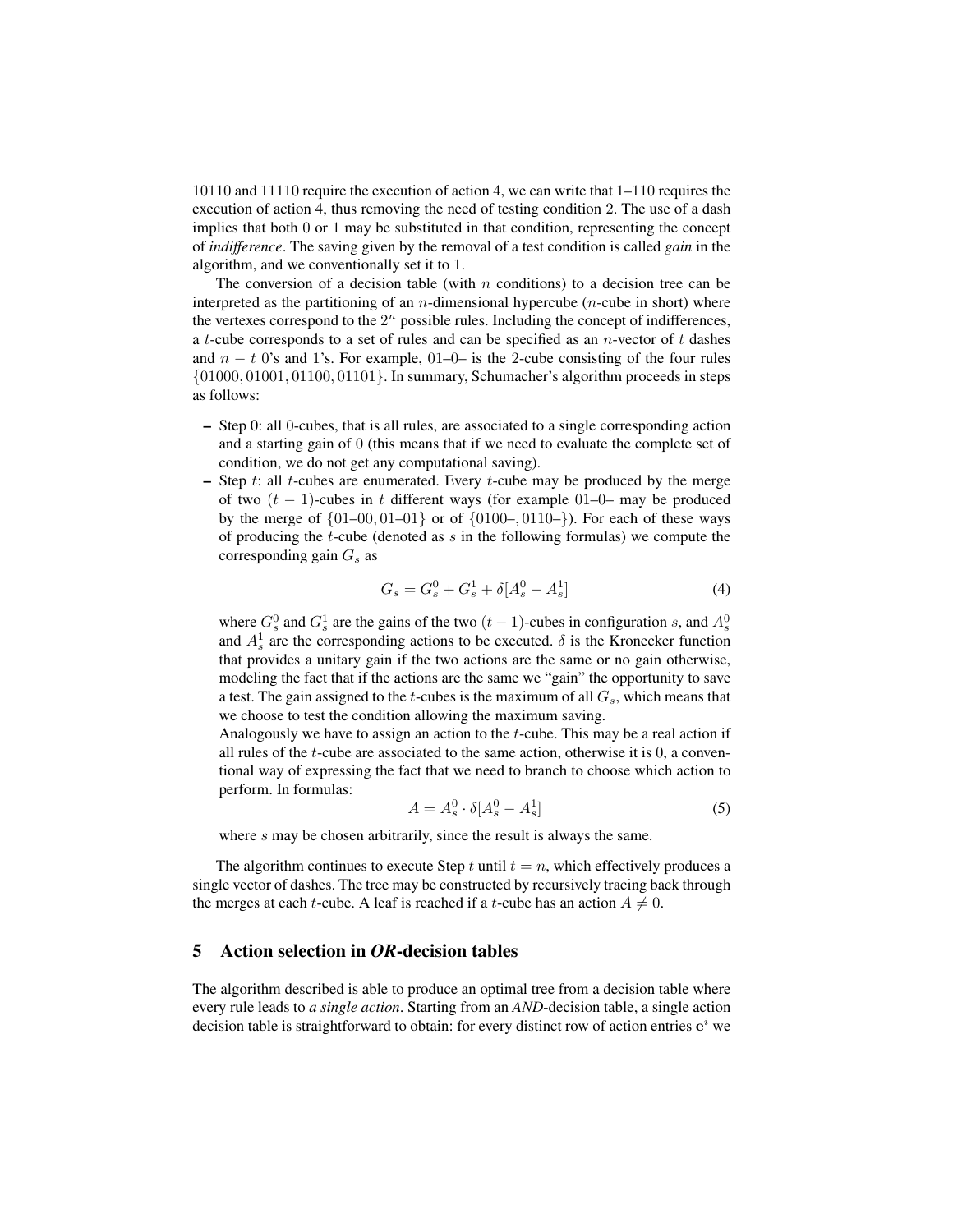10110 and 11110 require the execution of action 4, we can write that 1–110 requires the execution of action 4, thus removing the need of testing condition 2. The use of a dash implies that both 0 or 1 may be substituted in that condition, representing the concept of *indifference*. The saving given by the removal of a test condition is called *gain* in the algorithm, and we conventionally set it to 1.

The conversion of a decision table (with  $n$  conditions) to a decision tree can be interpreted as the partitioning of an *n*-dimensional hypercube (*n*-cube in short) where the vertexes correspond to the  $2^n$  possible rules. Including the concept of indifferences, a t-cube corresponds to a set of rules and can be specified as an n-vector of t dashes and  $n - t$  0's and 1's. For example, 01–0– is the 2-cube consisting of the four rules {01000, 01001, 01100, 01101}. In summary, Schumacher's algorithm proceeds in steps as follows:

- Step 0: all 0-cubes, that is all rules, are associated to a single corresponding action and a starting gain of 0 (this means that if we need to evaluate the complete set of condition, we do not get any computational saving).
- $-$  Step t: all t-cubes are enumerated. Every t-cube may be produced by the merge of two  $(t - 1)$ -cubes in t different ways (for example 01–0– may be produced by the merge of  $\{01-00, 01-01\}$  or of  $\{0100-, 0110-\}$ ). For each of these ways of producing the  $t$ -cube (denoted as  $s$  in the following formulas) we compute the corresponding gain  $G_s$  as

$$
G_s = G_s^0 + G_s^1 + \delta[A_s^0 - A_s^1] \tag{4}
$$

where  $G_s^0$  and  $G_s^1$  are the gains of the two  $(t-1)$ -cubes in configuration s, and  $A_s^0$ and  $A_s^1$  are the corresponding actions to be executed.  $\delta$  is the Kronecker function that provides a unitary gain if the two actions are the same or no gain otherwise, modeling the fact that if the actions are the same we "gain" the opportunity to save a test. The gain assigned to the t-cubes is the maximum of all  $G_s$ , which means that we choose to test the condition allowing the maximum saving.

Analogously we have to assign an action to the t-cube. This may be a real action if all rules of the  $t$ -cube are associated to the same action, otherwise it is  $0$ , a conventional way of expressing the fact that we need to branch to choose which action to perform. In formulas:

$$
A = A_s^0 \cdot \delta[A_s^0 - A_s^1] \tag{5}
$$

where s may be chosen arbitrarily, since the result is always the same.

The algorithm continues to execute Step t until  $t = n$ , which effectively produces a single vector of dashes. The tree may be constructed by recursively tracing back through the merges at each t-cube. A leaf is reached if a t-cube has an action  $A \neq 0$ .

## 5 Action selection in *OR*-decision tables

The algorithm described is able to produce an optimal tree from a decision table where every rule leads to *a single action*. Starting from an *AND*-decision table, a single action decision table is straightforward to obtain: for every distinct row of action entries  $e^{i}$  we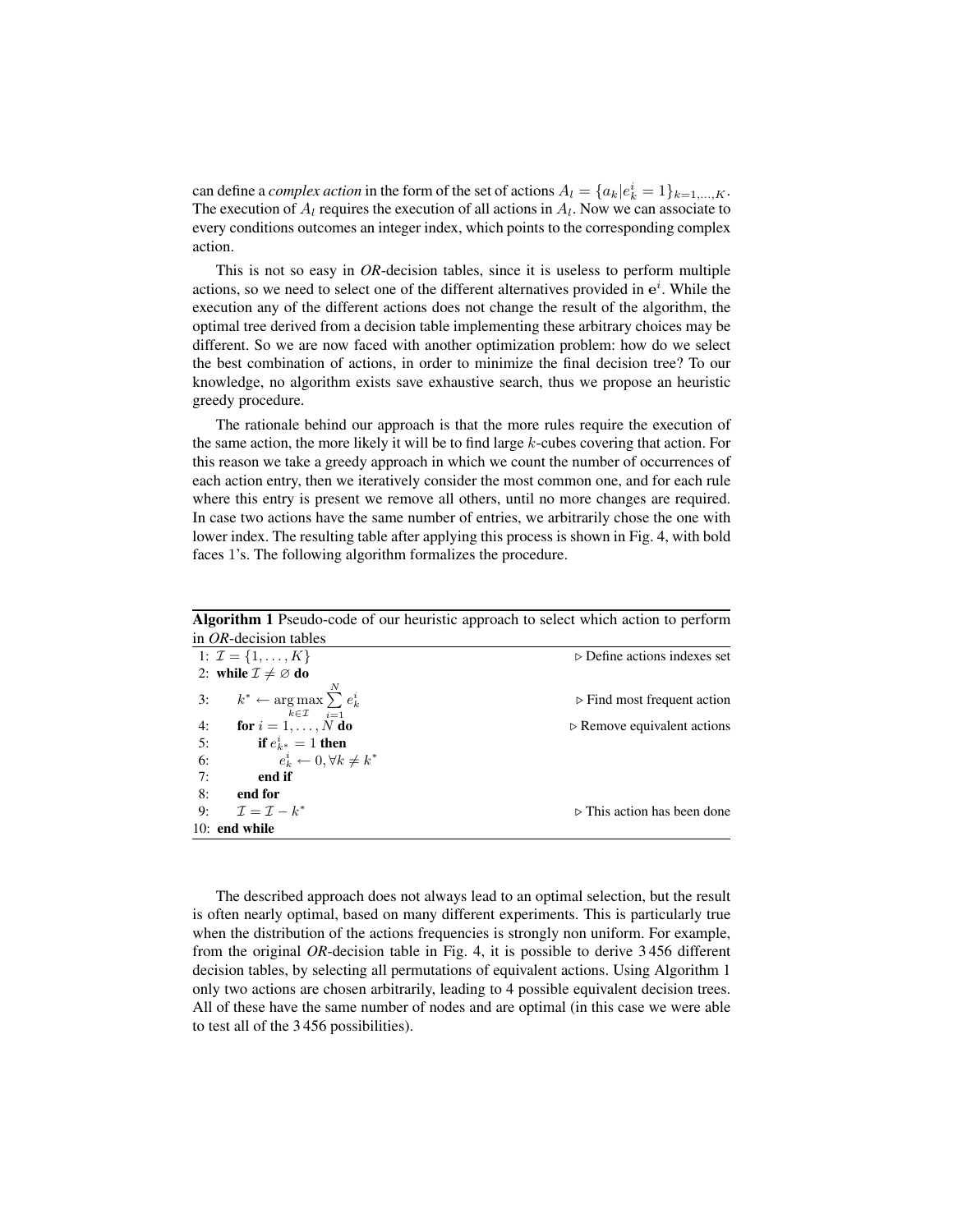can define a *complex action* in the form of the set of actions  $A_l = \{a_k | e_k^i = 1\}_{k=1,\dots,K}$ . The execution of  $A_l$  requires the execution of all actions in  $A_l$ . Now we can associate to every conditions outcomes an integer index, which points to the corresponding complex action.

This is not so easy in *OR*-decision tables, since it is useless to perform multiple actions, so we need to select one of the different alternatives provided in  $e^{i}$ . While the execution any of the different actions does not change the result of the algorithm, the optimal tree derived from a decision table implementing these arbitrary choices may be different. So we are now faced with another optimization problem: how do we select the best combination of actions, in order to minimize the final decision tree? To our knowledge, no algorithm exists save exhaustive search, thus we propose an heuristic greedy procedure.

The rationale behind our approach is that the more rules require the execution of the same action, the more likely it will be to find large k-cubes covering that action. For this reason we take a greedy approach in which we count the number of occurrences of each action entry, then we iteratively consider the most common one, and for each rule where this entry is present we remove all others, until no more changes are required. In case two actions have the same number of entries, we arbitrarily chose the one with lower index. The resulting table after applying this process is shown in Fig. 4, with bold faces 1's. The following algorithm formalizes the procedure.

| in $OR$ -decision tables                          |                                             |
|---------------------------------------------------|---------------------------------------------|
| 1: $\mathcal{I} = \{1, , K\}$                     | $\triangleright$ Define actions indexes set |
| 2: while $\mathcal{I} \neq \emptyset$ do          |                                             |
| $k^* \leftarrow \arg \max \sum_i^{N} e_k^i$<br>3: |                                             |
| $k\in\mathcal{I}$ $i=1$                           | $\triangleright$ Find most frequent action  |
| for $i = 1, \ldots, N$ do<br>4:                   | $\triangleright$ Remove equivalent actions  |
| if $e_{k^*}^i = 1$ then<br>5:                     |                                             |
| $e_k^i \leftarrow 0, \forall k \neq k^*$<br>6:    |                                             |
| 7:<br>end if                                      |                                             |
| 8:<br>end for                                     |                                             |
| 9:<br>$\mathcal{I} = \mathcal{I} - k^*$           | $\triangleright$ This action has been done  |
| $10:$ end while                                   |                                             |

Algorithm 1 Pseudo-code of our heuristic approach to select which action to perform

The described approach does not always lead to an optimal selection, but the result is often nearly optimal, based on many different experiments. This is particularly true when the distribution of the actions frequencies is strongly non uniform. For example, from the original *OR*-decision table in Fig. 4, it is possible to derive 3 456 different decision tables, by selecting all permutations of equivalent actions. Using Algorithm 1 only two actions are chosen arbitrarily, leading to 4 possible equivalent decision trees. All of these have the same number of nodes and are optimal (in this case we were able to test all of the 3 456 possibilities).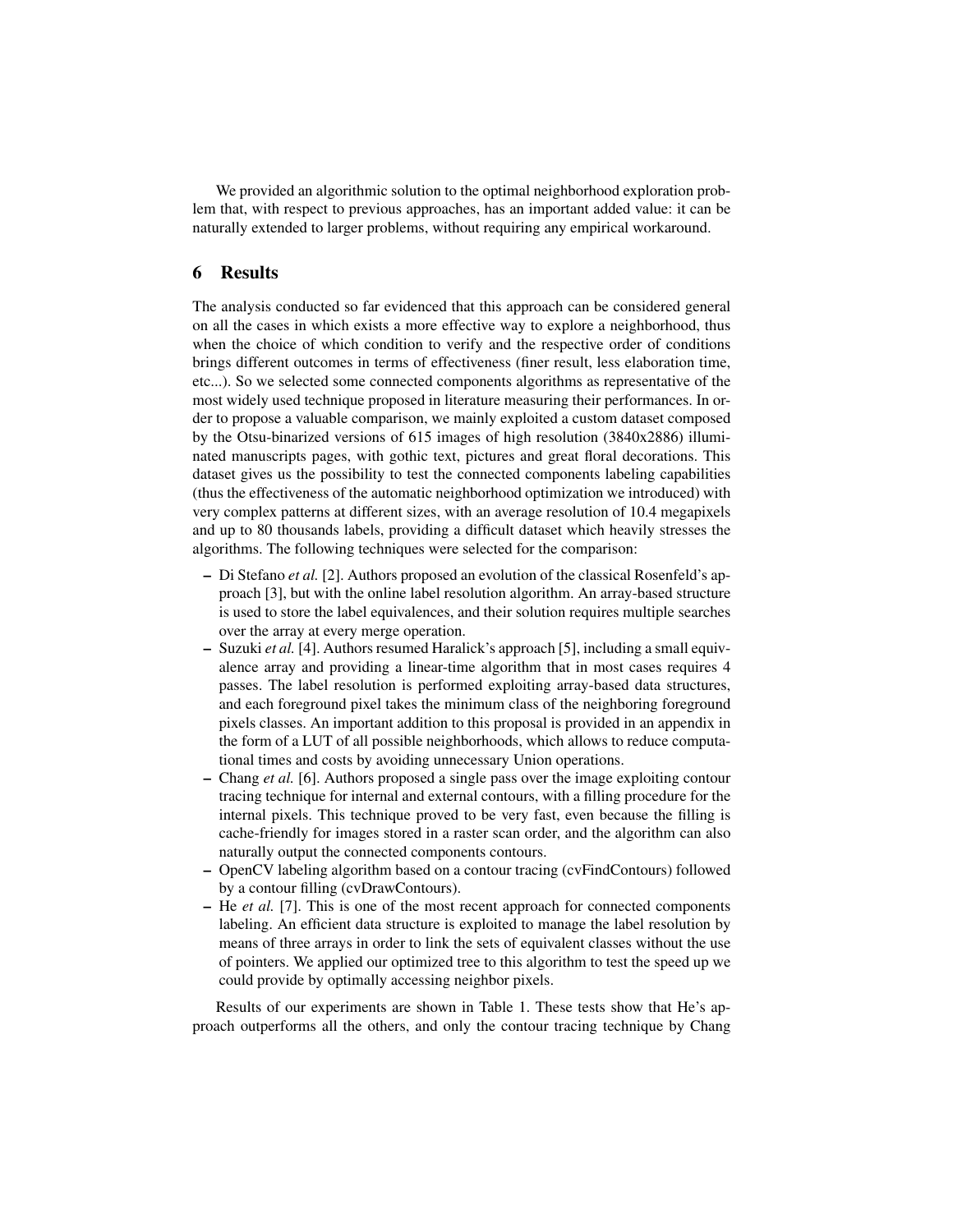We provided an algorithmic solution to the optimal neighborhood exploration problem that, with respect to previous approaches, has an important added value: it can be naturally extended to larger problems, without requiring any empirical workaround.

## 6 Results

The analysis conducted so far evidenced that this approach can be considered general on all the cases in which exists a more effective way to explore a neighborhood, thus when the choice of which condition to verify and the respective order of conditions brings different outcomes in terms of effectiveness (finer result, less elaboration time, etc...). So we selected some connected components algorithms as representative of the most widely used technique proposed in literature measuring their performances. In order to propose a valuable comparison, we mainly exploited a custom dataset composed by the Otsu-binarized versions of 615 images of high resolution (3840x2886) illuminated manuscripts pages, with gothic text, pictures and great floral decorations. This dataset gives us the possibility to test the connected components labeling capabilities (thus the effectiveness of the automatic neighborhood optimization we introduced) with very complex patterns at different sizes, with an average resolution of 10.4 megapixels and up to 80 thousands labels, providing a difficult dataset which heavily stresses the algorithms. The following techniques were selected for the comparison:

- Di Stefano *et al.* [2]. Authors proposed an evolution of the classical Rosenfeld's approach [3], but with the online label resolution algorithm. An array-based structure is used to store the label equivalences, and their solution requires multiple searches over the array at every merge operation.
- Suzuki *et al.* [4]. Authors resumed Haralick's approach [5], including a small equivalence array and providing a linear-time algorithm that in most cases requires 4 passes. The label resolution is performed exploiting array-based data structures, and each foreground pixel takes the minimum class of the neighboring foreground pixels classes. An important addition to this proposal is provided in an appendix in the form of a LUT of all possible neighborhoods, which allows to reduce computational times and costs by avoiding unnecessary Union operations.
- Chang *et al.* [6]. Authors proposed a single pass over the image exploiting contour tracing technique for internal and external contours, with a filling procedure for the internal pixels. This technique proved to be very fast, even because the filling is cache-friendly for images stored in a raster scan order, and the algorithm can also naturally output the connected components contours.
- OpenCV labeling algorithm based on a contour tracing (cvFindContours) followed by a contour filling (cvDrawContours).
- He *et al.* [7]. This is one of the most recent approach for connected components labeling. An efficient data structure is exploited to manage the label resolution by means of three arrays in order to link the sets of equivalent classes without the use of pointers. We applied our optimized tree to this algorithm to test the speed up we could provide by optimally accessing neighbor pixels.

Results of our experiments are shown in Table 1. These tests show that He's approach outperforms all the others, and only the contour tracing technique by Chang